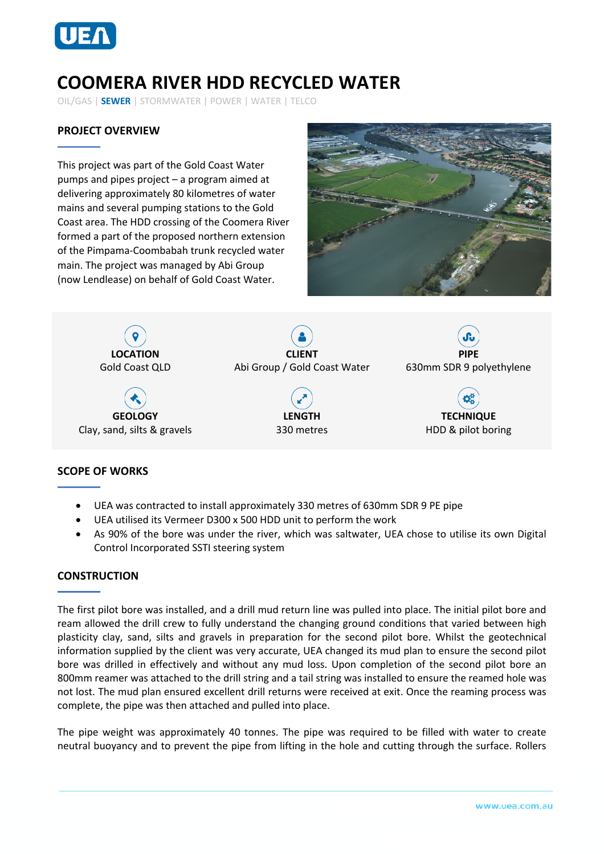

# **COOMERA RIVER HDD RECYCLED WATER**

OIL/GAS | **SEWER** | STORMWATER | POWER | WATER | TELCO

## **PROJECT OVERVIEW**

This project was part of the Gold Coast Water pumps and pipes project – a program aimed at delivering approximately 80 kilometres of water mains and several pumping stations to the Gold Coast area. The HDD crossing of the Coomera River formed a part of the proposed northern extension of the Pimpama-Coombabah trunk recycled water main. The project was managed by Abi Group (now Lendlease) on behalf of Gold Coast Water.





#### **SCOPE OF WORKS**

- UEA was contracted to install approximately 330 metres of 630mm SDR 9 PE pipe
- UEA utilised its Vermeer D300 x 500 HDD unit to perform the work
- As 90% of the bore was under the river, which was saltwater, UEA chose to utilise its own Digital Control Incorporated SSTI steering system

#### **CONSTRUCTION**

The first pilot bore was installed, and a drill mud return line was pulled into place. The initial pilot bore and ream allowed the drill crew to fully understand the changing ground conditions that varied between high plasticity clay, sand, silts and gravels in preparation for the second pilot bore. Whilst the geotechnical information supplied by the client was very accurate, UEA changed its mud plan to ensure the second pilot bore was drilled in effectively and without any mud loss. Upon completion of the second pilot bore an 800mm reamer was attached to the drill string and a tail string was installed to ensure the reamed hole was not lost. The mud plan ensured excellent drill returns were received at exit. Once the reaming process was complete, the pipe was then attached and pulled into place.

The pipe weight was approximately 40 tonnes. The pipe was required to be filled with water to create neutral buoyancy and to prevent the pipe from lifting in the hole and cutting through the surface. Rollers